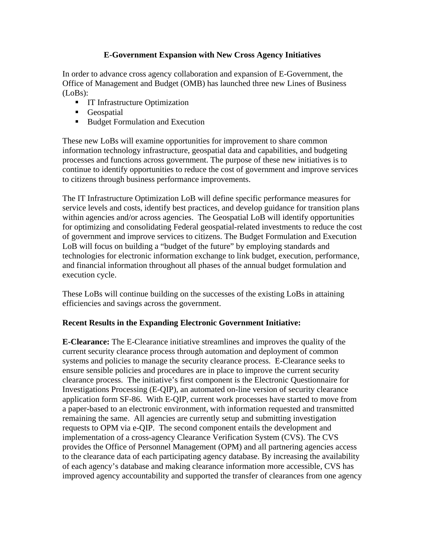## **E-Government Expansion with New Cross Agency Initiatives**

In order to advance cross agency collaboration and expansion of E-Government, the Office of Management and Budget (OMB) has launched three new Lines of Business (LoBs):

- **IT Infrastructure Optimization**
- **Geospatial**
- **Budget Formulation and Execution**

These new LoBs will examine opportunities for improvement to share common information technology infrastructure, geospatial data and capabilities, and budgeting processes and functions across government. The purpose of these new initiatives is to continue to identify opportunities to reduce the cost of government and improve services to citizens through business performance improvements.

The IT Infrastructure Optimization LoB will define specific performance measures for service levels and costs, identify best practices, and develop guidance for transition plans within agencies and/or across agencies. The Geospatial LoB will identify opportunities for optimizing and consolidating Federal geospatial-related investments to reduce the cost of government and improve services to citizens. The Budget Formulation and Execution LoB will focus on building a "budget of the future" by employing standards and technologies for electronic information exchange to link budget, execution, performance, and financial information throughout all phases of the annual budget formulation and execution cycle.

These LoBs will continue building on the successes of the existing LoBs in attaining efficiencies and savings across the government.

## **Recent Results in the Expanding Electronic Government Initiative:**

**E-Clearance:** The E-Clearance initiative streamlines and improves the quality of the current security clearance process through automation and deployment of common systems and policies to manage the security clearance process. E-Clearance seeks to ensure sensible policies and procedures are in place to improve the current security clearance process. The initiative's first component is the Electronic Questionnaire for Investigations Processing (E-QIP), an automated on-line version of security clearance application form SF-86. With E-QIP, current work processes have started to move from a paper-based to an electronic environment, with information requested and transmitted remaining the same. All agencies are currently setup and submitting investigation requests to OPM via e-QIP. The second component entails the development and implementation of a cross-agency Clearance Verification System (CVS). The CVS provides the Office of Personnel Management (OPM) and all partnering agencies access to the clearance data of each participating agency database. By increasing the availability of each agency's database and making clearance information more accessible, CVS has improved agency accountability and supported the transfer of clearances from one agency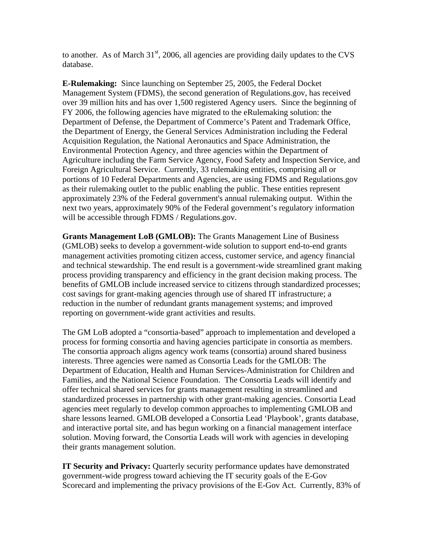to another. As of March  $31<sup>st</sup>$ , 2006, all agencies are providing daily updates to the CVS database.

**E-Rulemaking:** Since launching on September 25, 2005, the Federal Docket Management System (FDMS), the second generation of Regulations.gov, has received over 39 million hits and has over 1,500 registered Agency users. Since the beginning of FY 2006, the following agencies have migrated to the eRulemaking solution: the Department of Defense, the Department of Commerce's Patent and Trademark Office, the Department of Energy, the General Services Administration including the Federal Acquisition Regulation, the National Aeronautics and Space Administration, the Environmental Protection Agency, and three agencies within the Department of Agriculture including the Farm Service Agency, Food Safety and Inspection Service, and Foreign Agricultural Service. Currently, 33 rulemaking entities, comprising all or portions of 10 Federal Departments and Agencies, are using FDMS and Regulations.gov as their rulemaking outlet to the public enabling the public. These entities represent approximately 23% of the Federal government's annual rulemaking output. Within the next two years, approximately 90% of the Federal government's regulatory information will be accessible through FDMS / Regulations.gov.

**Grants Management LoB (GMLOB):** The Grants Management Line of Business (GMLOB) seeks to develop a government-wide solution to support end-to-end grants management activities promoting citizen access, customer service, and agency financial and technical stewardship. The end result is a government-wide streamlined grant making process providing transparency and efficiency in the grant decision making process. The benefits of GMLOB include increased service to citizens through standardized processes; cost savings for grant-making agencies through use of shared IT infrastructure; a reduction in the number of redundant grants management systems; and improved reporting on government-wide grant activities and results.

The GM LoB adopted a "consortia-based" approach to implementation and developed a process for forming consortia and having agencies participate in consortia as members. The consortia approach aligns agency work teams (consortia) around shared business interests. Three agencies were named as Consortia Leads for the GMLOB: The Department of Education, Health and Human Services-Administration for Children and Families, and the National Science Foundation. The Consortia Leads will identify and offer technical shared services for grants management resulting in streamlined and standardized processes in partnership with other grant-making agencies. Consortia Lead agencies meet regularly to develop common approaches to implementing GMLOB and share lessons learned. GMLOB developed a Consortia Lead 'Playbook', grants database, and interactive portal site, and has begun working on a financial management interface solution. Moving forward, the Consortia Leads will work with agencies in developing their grants management solution.

**IT Security and Privacy:** Quarterly security performance updates have demonstrated government-wide progress toward achieving the IT security goals of the E-Gov Scorecard and implementing the privacy provisions of the E-Gov Act. Currently, 83% of